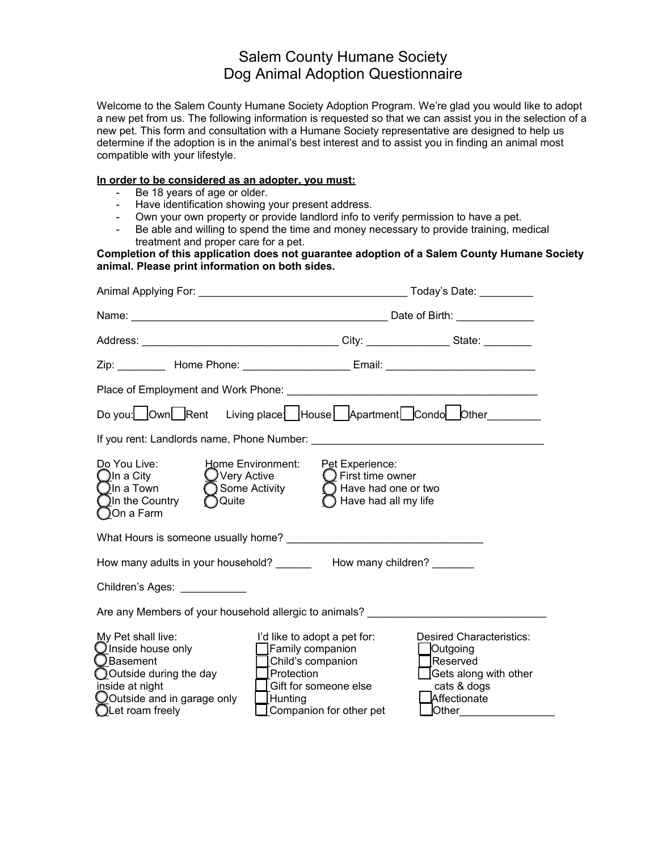## Salem County Humane Society Dog Animal Adoption Questionnaire

Welcome to the Salem County Humane Society Adoption Program. We're glad you would like to adopt a new pet from us. The following information is requested so that we can assist you in the selection of a new pet. This form and consultation with a Humane Society representative are designed to help us determine if the adoption is in the animal's best interest and to assist you in finding an animal most compatible with your lifestyle.

## **In order to be considered as an adopter, you must:**

- Be 18 years of age or older.
- Have identification showing your present address.
- Own your own property or provide landlord info to verify permission to have a pet.
- Be able and willing to spend the time and money necessary to provide training, medical treatment and proper care for a pet.

**Completion of this application does not guarantee adoption of a Salem County Humane Society animal. Please print information on both sides.**

| Zip: __________ Home Phone: ______________________ Email: _______________________                                                                                                                                                                                                                                                                                                                                                                                                         |                                                                                  |  |  |
|-------------------------------------------------------------------------------------------------------------------------------------------------------------------------------------------------------------------------------------------------------------------------------------------------------------------------------------------------------------------------------------------------------------------------------------------------------------------------------------------|----------------------------------------------------------------------------------|--|--|
|                                                                                                                                                                                                                                                                                                                                                                                                                                                                                           |                                                                                  |  |  |
| Do you: Own Rent Living place House Apartment Condo Other                                                                                                                                                                                                                                                                                                                                                                                                                                 |                                                                                  |  |  |
|                                                                                                                                                                                                                                                                                                                                                                                                                                                                                           |                                                                                  |  |  |
| Do You Live:<br>Home Environment:<br>$\bigcup$ Very Active<br>$\bigcirc$ In a City<br>◯ Some Activity ◯ Have had one or two<br>$\bigcirc$ In a Town<br>$Q$ In the Country<br>◯ Quite<br>◯On a Farm                                                                                                                                                                                                                                                                                        | Pet Experience:<br>$\bigcirc$ First time owner<br>$\bigcap$ Have had all my life |  |  |
|                                                                                                                                                                                                                                                                                                                                                                                                                                                                                           |                                                                                  |  |  |
| How many adults in your household? __________ How many children?                                                                                                                                                                                                                                                                                                                                                                                                                          |                                                                                  |  |  |
| Children's Ages: ____________                                                                                                                                                                                                                                                                                                                                                                                                                                                             |                                                                                  |  |  |
| Are any Members of your household allergic to animals?                                                                                                                                                                                                                                                                                                                                                                                                                                    |                                                                                  |  |  |
| My Pet shall live:<br>I'd like to adopt a pet for:<br><b>Desired Characteristics:</b><br>◯Inside house only<br>◯Basement<br><b>Family companion</b><br>  Outgoing<br>Child's companion<br>Reserved<br>$\overline{O}$ Outside during the day<br>  Protection<br>Gets along with other<br>inside at night<br>Gift for someone else<br>cats & dogs<br>O Outside and in garage only<br>Affectionate<br>$\Box$ Hunting<br>OLet roam freely<br>Companion for other pet<br>$\sqrt{\text{Other}}$ |                                                                                  |  |  |